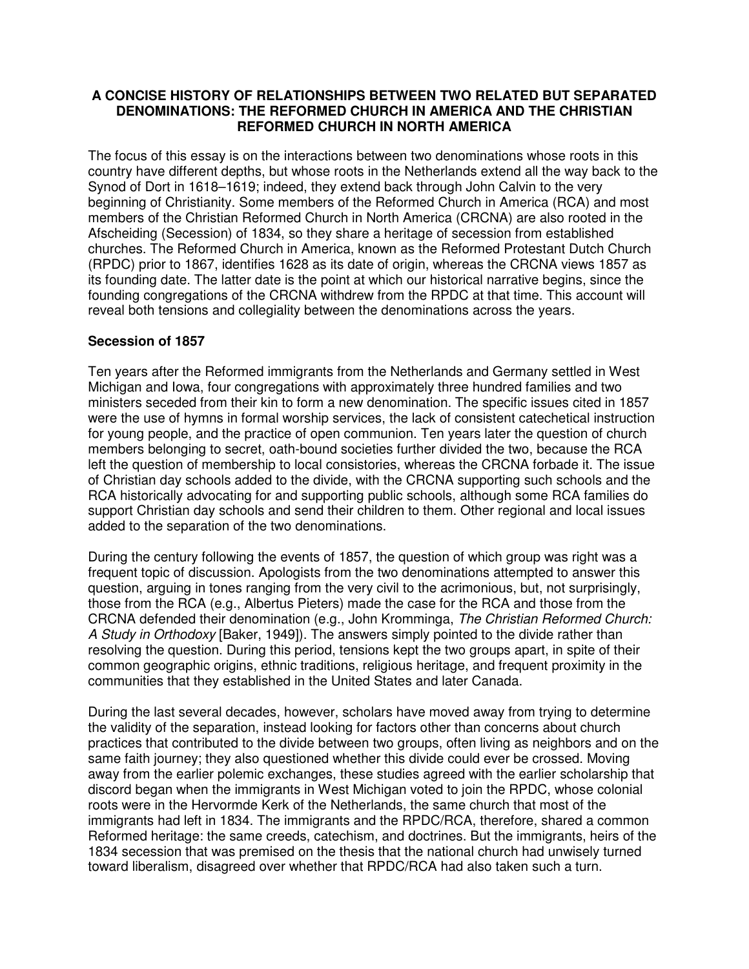## **A CONCISE HISTORY OF RELATIONSHIPS BETWEEN TWO RELATED BUT SEPARATED DENOMINATIONS: THE REFORMED CHURCH IN AMERICA AND THE CHRISTIAN REFORMED CHURCH IN NORTH AMERICA**

The focus of this essay is on the interactions between two denominations whose roots in this country have different depths, but whose roots in the Netherlands extend all the way back to the Synod of Dort in 1618–1619; indeed, they extend back through John Calvin to the very beginning of Christianity. Some members of the Reformed Church in America (RCA) and most members of the Christian Reformed Church in North America (CRCNA) are also rooted in the Afscheiding (Secession) of 1834, so they share a heritage of secession from established churches. The Reformed Church in America, known as the Reformed Protestant Dutch Church (RPDC) prior to 1867, identifies 1628 as its date of origin, whereas the CRCNA views 1857 as its founding date. The latter date is the point at which our historical narrative begins, since the founding congregations of the CRCNA withdrew from the RPDC at that time. This account will reveal both tensions and collegiality between the denominations across the years.

## **Secession of 1857**

Ten years after the Reformed immigrants from the Netherlands and Germany settled in West Michigan and Iowa, four congregations with approximately three hundred families and two ministers seceded from their kin to form a new denomination. The specific issues cited in 1857 were the use of hymns in formal worship services, the lack of consistent catechetical instruction for young people, and the practice of open communion. Ten years later the question of church members belonging to secret, oath-bound societies further divided the two, because the RCA left the question of membership to local consistories, whereas the CRCNA forbade it. The issue of Christian day schools added to the divide, with the CRCNA supporting such schools and the RCA historically advocating for and supporting public schools, although some RCA families do support Christian day schools and send their children to them. Other regional and local issues added to the separation of the two denominations.

During the century following the events of 1857, the question of which group was right was a frequent topic of discussion. Apologists from the two denominations attempted to answer this question, arguing in tones ranging from the very civil to the acrimonious, but, not surprisingly, those from the RCA (e.g., Albertus Pieters) made the case for the RCA and those from the CRCNA defended their denomination (e.g., John Kromminga, *The Christian Reformed Church: A Study in Orthodoxy* [Baker, 1949]). The answers simply pointed to the divide rather than resolving the question. During this period, tensions kept the two groups apart, in spite of their common geographic origins, ethnic traditions, religious heritage, and frequent proximity in the communities that they established in the United States and later Canada.

During the last several decades, however, scholars have moved away from trying to determine the validity of the separation, instead looking for factors other than concerns about church practices that contributed to the divide between two groups, often living as neighbors and on the same faith journey; they also questioned whether this divide could ever be crossed. Moving away from the earlier polemic exchanges, these studies agreed with the earlier scholarship that discord began when the immigrants in West Michigan voted to join the RPDC, whose colonial roots were in the Hervormde Kerk of the Netherlands, the same church that most of the immigrants had left in 1834. The immigrants and the RPDC/RCA, therefore, shared a common Reformed heritage: the same creeds, catechism, and doctrines. But the immigrants, heirs of the 1834 secession that was premised on the thesis that the national church had unwisely turned toward liberalism, disagreed over whether that RPDC/RCA had also taken such a turn.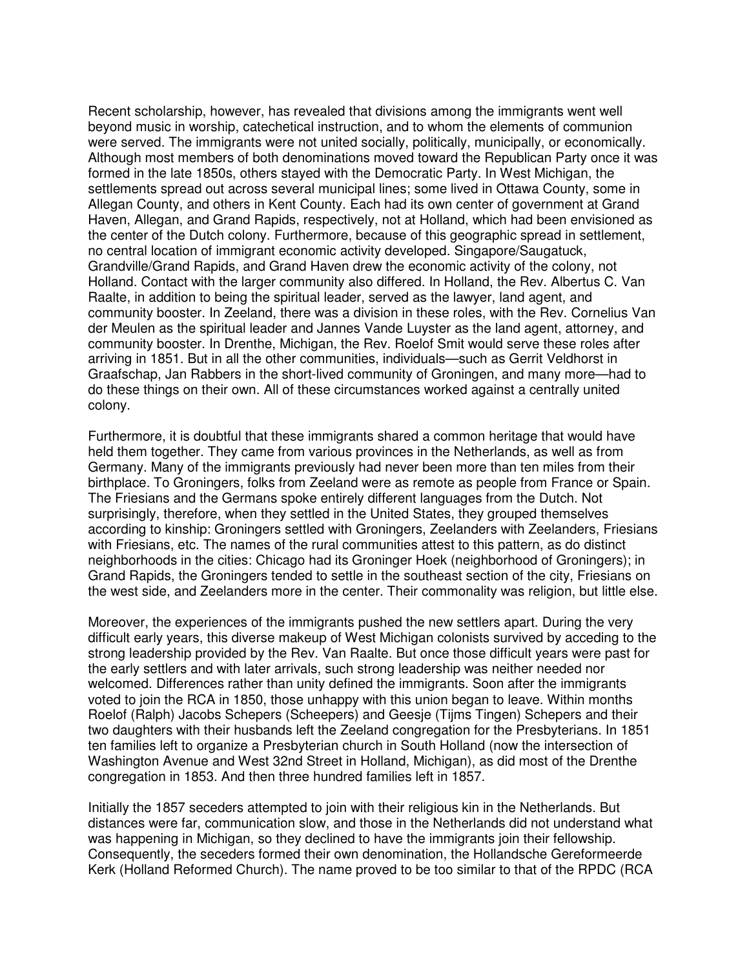Recent scholarship, however, has revealed that divisions among the immigrants went well beyond music in worship, catechetical instruction, and to whom the elements of communion were served. The immigrants were not united socially, politically, municipally, or economically. Although most members of both denominations moved toward the Republican Party once it was formed in the late 1850s, others stayed with the Democratic Party. In West Michigan, the settlements spread out across several municipal lines; some lived in Ottawa County, some in Allegan County, and others in Kent County. Each had its own center of government at Grand Haven, Allegan, and Grand Rapids, respectively, not at Holland, which had been envisioned as the center of the Dutch colony. Furthermore, because of this geographic spread in settlement, no central location of immigrant economic activity developed. Singapore/Saugatuck, Grandville/Grand Rapids, and Grand Haven drew the economic activity of the colony, not Holland. Contact with the larger community also differed. In Holland, the Rev. Albertus C. Van Raalte, in addition to being the spiritual leader, served as the lawyer, land agent, and community booster. In Zeeland, there was a division in these roles, with the Rev. Cornelius Van der Meulen as the spiritual leader and Jannes Vande Luyster as the land agent, attorney, and community booster. In Drenthe, Michigan, the Rev. Roelof Smit would serve these roles after arriving in 1851. But in all the other communities, individuals—such as Gerrit Veldhorst in Graafschap, Jan Rabbers in the short-lived community of Groningen, and many more—had to do these things on their own. All of these circumstances worked against a centrally united colony.

Furthermore, it is doubtful that these immigrants shared a common heritage that would have held them together. They came from various provinces in the Netherlands, as well as from Germany. Many of the immigrants previously had never been more than ten miles from their birthplace. To Groningers, folks from Zeeland were as remote as people from France or Spain. The Friesians and the Germans spoke entirely different languages from the Dutch. Not surprisingly, therefore, when they settled in the United States, they grouped themselves according to kinship: Groningers settled with Groningers, Zeelanders with Zeelanders, Friesians with Friesians, etc. The names of the rural communities attest to this pattern, as do distinct neighborhoods in the cities: Chicago had its Groninger Hoek (neighborhood of Groningers); in Grand Rapids, the Groningers tended to settle in the southeast section of the city, Friesians on the west side, and Zeelanders more in the center. Their commonality was religion, but little else.

Moreover, the experiences of the immigrants pushed the new settlers apart. During the very difficult early years, this diverse makeup of West Michigan colonists survived by acceding to the strong leadership provided by the Rev. Van Raalte. But once those difficult years were past for the early settlers and with later arrivals, such strong leadership was neither needed nor welcomed. Differences rather than unity defined the immigrants. Soon after the immigrants voted to join the RCA in 1850, those unhappy with this union began to leave. Within months Roelof (Ralph) Jacobs Schepers (Scheepers) and Geesje (Tijms Tingen) Schepers and their two daughters with their husbands left the Zeeland congregation for the Presbyterians. In 1851 ten families left to organize a Presbyterian church in South Holland (now the intersection of Washington Avenue and West 32nd Street in Holland, Michigan), as did most of the Drenthe congregation in 1853. And then three hundred families left in 1857.

Initially the 1857 seceders attempted to join with their religious kin in the Netherlands. But distances were far, communication slow, and those in the Netherlands did not understand what was happening in Michigan, so they declined to have the immigrants join their fellowship. Consequently, the seceders formed their own denomination, the Hollandsche Gereformeerde Kerk (Holland Reformed Church). The name proved to be too similar to that of the RPDC (RCA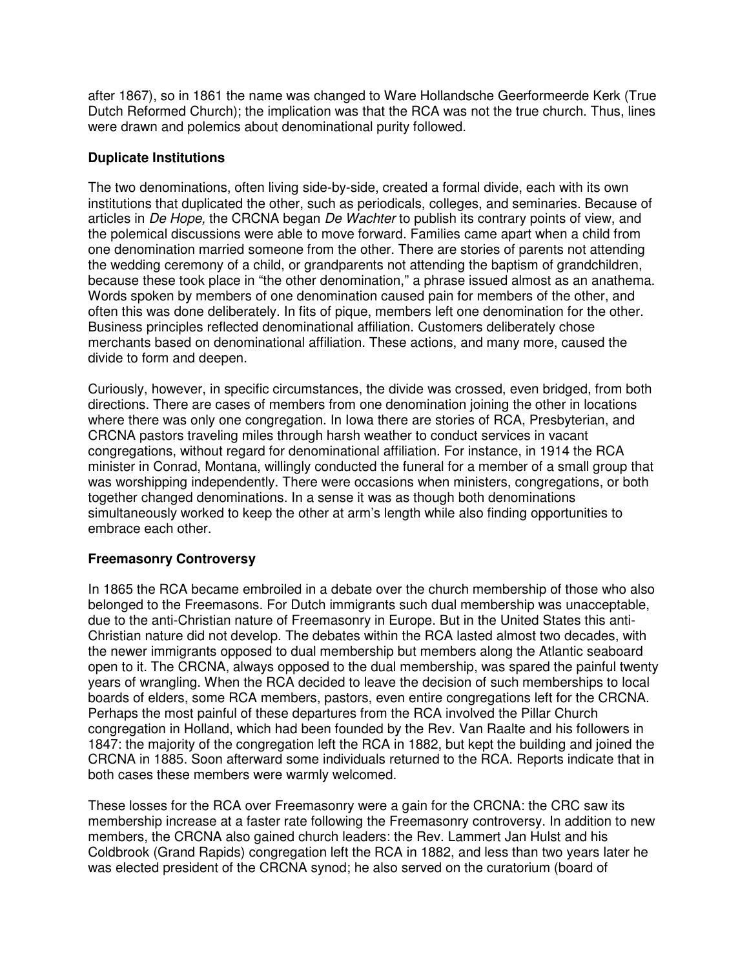after 1867), so in 1861 the name was changed to Ware Hollandsche Geerformeerde Kerk (True Dutch Reformed Church); the implication was that the RCA was not the true church. Thus, lines were drawn and polemics about denominational purity followed.

## **Duplicate Institutions**

The two denominations, often living side-by-side, created a formal divide, each with its own institutions that duplicated the other, such as periodicals, colleges, and seminaries. Because of articles in *De Hope,* the CRCNA began *De Wachter* to publish its contrary points of view, and the polemical discussions were able to move forward. Families came apart when a child from one denomination married someone from the other. There are stories of parents not attending the wedding ceremony of a child, or grandparents not attending the baptism of grandchildren, because these took place in "the other denomination," a phrase issued almost as an anathema. Words spoken by members of one denomination caused pain for members of the other, and often this was done deliberately. In fits of pique, members left one denomination for the other. Business principles reflected denominational affiliation. Customers deliberately chose merchants based on denominational affiliation. These actions, and many more, caused the divide to form and deepen.

Curiously, however, in specific circumstances, the divide was crossed, even bridged, from both directions. There are cases of members from one denomination joining the other in locations where there was only one congregation. In Iowa there are stories of RCA, Presbyterian, and CRCNA pastors traveling miles through harsh weather to conduct services in vacant congregations, without regard for denominational affiliation. For instance, in 1914 the RCA minister in Conrad, Montana, willingly conducted the funeral for a member of a small group that was worshipping independently. There were occasions when ministers, congregations, or both together changed denominations. In a sense it was as though both denominations simultaneously worked to keep the other at arm's length while also finding opportunities to embrace each other.

## **Freemasonry Controversy**

In 1865 the RCA became embroiled in a debate over the church membership of those who also belonged to the Freemasons. For Dutch immigrants such dual membership was unacceptable, due to the anti-Christian nature of Freemasonry in Europe. But in the United States this anti-Christian nature did not develop. The debates within the RCA lasted almost two decades, with the newer immigrants opposed to dual membership but members along the Atlantic seaboard open to it. The CRCNA, always opposed to the dual membership, was spared the painful twenty years of wrangling. When the RCA decided to leave the decision of such memberships to local boards of elders, some RCA members, pastors, even entire congregations left for the CRCNA. Perhaps the most painful of these departures from the RCA involved the Pillar Church congregation in Holland, which had been founded by the Rev. Van Raalte and his followers in 1847: the majority of the congregation left the RCA in 1882, but kept the building and joined the CRCNA in 1885. Soon afterward some individuals returned to the RCA. Reports indicate that in both cases these members were warmly welcomed.

These losses for the RCA over Freemasonry were a gain for the CRCNA: the CRC saw its membership increase at a faster rate following the Freemasonry controversy. In addition to new members, the CRCNA also gained church leaders: the Rev. Lammert Jan Hulst and his Coldbrook (Grand Rapids) congregation left the RCA in 1882, and less than two years later he was elected president of the CRCNA synod; he also served on the curatorium (board of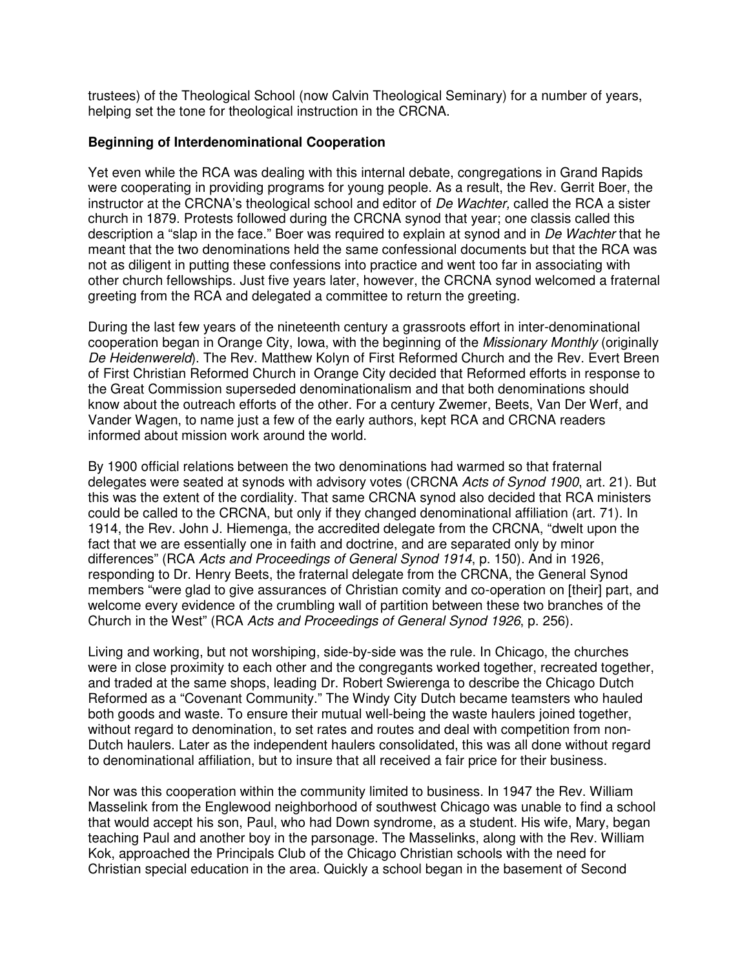trustees) of the Theological School (now Calvin Theological Seminary) for a number of years, helping set the tone for theological instruction in the CRCNA.

### **Beginning of Interdenominational Cooperation**

Yet even while the RCA was dealing with this internal debate, congregations in Grand Rapids were cooperating in providing programs for young people. As a result, the Rev. Gerrit Boer, the instructor at the CRCNA's theological school and editor of *De Wachter,* called the RCA a sister church in 1879. Protests followed during the CRCNA synod that year; one classis called this description a "slap in the face." Boer was required to explain at synod and in *De Wachter* that he meant that the two denominations held the same confessional documents but that the RCA was not as diligent in putting these confessions into practice and went too far in associating with other church fellowships. Just five years later, however, the CRCNA synod welcomed a fraternal greeting from the RCA and delegated a committee to return the greeting.

During the last few years of the nineteenth century a grassroots effort in inter-denominational cooperation began in Orange City, Iowa, with the beginning of the *Missionary Monthly* (originally *De Heidenwereld*). The Rev. Matthew Kolyn of First Reformed Church and the Rev. Evert Breen of First Christian Reformed Church in Orange City decided that Reformed efforts in response to the Great Commission superseded denominationalism and that both denominations should know about the outreach efforts of the other. For a century Zwemer, Beets, Van Der Werf, and Vander Wagen, to name just a few of the early authors, kept RCA and CRCNA readers informed about mission work around the world.

By 1900 official relations between the two denominations had warmed so that fraternal delegates were seated at synods with advisory votes (CRCNA *Acts of Synod 1900*, art. 21). But this was the extent of the cordiality. That same CRCNA synod also decided that RCA ministers could be called to the CRCNA, but only if they changed denominational affiliation (art. 71). In 1914, the Rev. John J. Hiemenga, the accredited delegate from the CRCNA, "dwelt upon the fact that we are essentially one in faith and doctrine, and are separated only by minor differences" (RCA *Acts and Proceedings of General Synod 1914*, p. 150). And in 1926, responding to Dr. Henry Beets, the fraternal delegate from the CRCNA, the General Synod members "were glad to give assurances of Christian comity and co-operation on [their] part, and welcome every evidence of the crumbling wall of partition between these two branches of the Church in the West" (RCA *Acts and Proceedings of General Synod 1926*, p. 256).

Living and working, but not worshiping, side-by-side was the rule. In Chicago, the churches were in close proximity to each other and the congregants worked together, recreated together, and traded at the same shops, leading Dr. Robert Swierenga to describe the Chicago Dutch Reformed as a "Covenant Community." The Windy City Dutch became teamsters who hauled both goods and waste. To ensure their mutual well-being the waste haulers joined together, without regard to denomination, to set rates and routes and deal with competition from non-Dutch haulers. Later as the independent haulers consolidated, this was all done without regard to denominational affiliation, but to insure that all received a fair price for their business.

Nor was this cooperation within the community limited to business. In 1947 the Rev. William Masselink from the Englewood neighborhood of southwest Chicago was unable to find a school that would accept his son, Paul, who had Down syndrome, as a student. His wife, Mary, began teaching Paul and another boy in the parsonage. The Masselinks, along with the Rev. William Kok, approached the Principals Club of the Chicago Christian schools with the need for Christian special education in the area. Quickly a school began in the basement of Second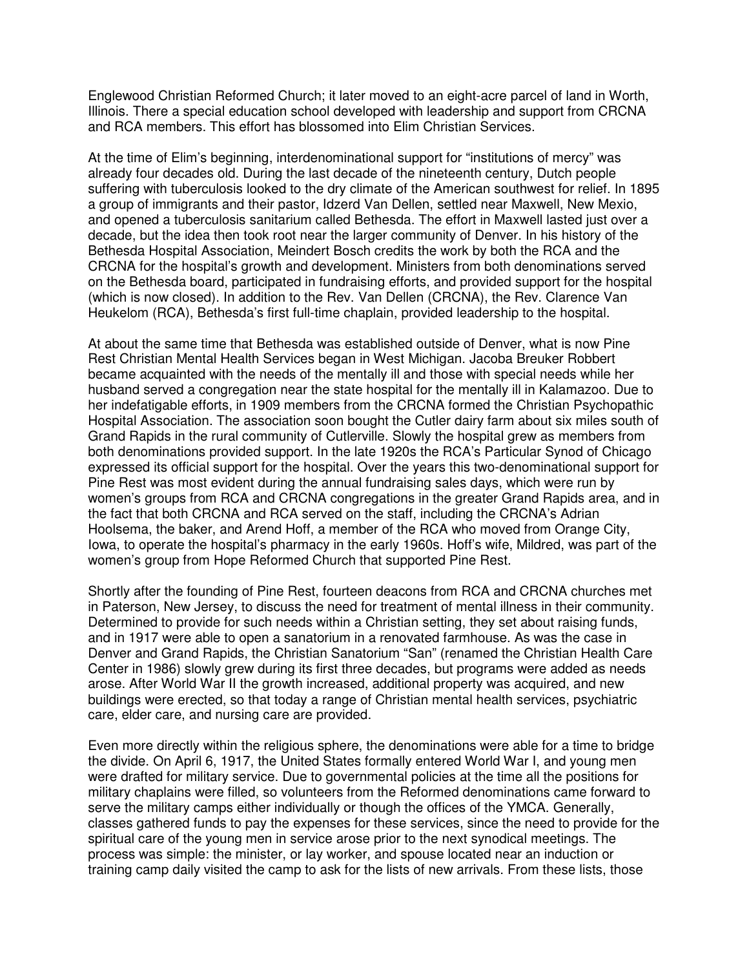Englewood Christian Reformed Church; it later moved to an eight-acre parcel of land in Worth, Illinois. There a special education school developed with leadership and support from CRCNA and RCA members. This effort has blossomed into Elim Christian Services.

At the time of Elim's beginning, interdenominational support for "institutions of mercy" was already four decades old. During the last decade of the nineteenth century, Dutch people suffering with tuberculosis looked to the dry climate of the American southwest for relief. In 1895 a group of immigrants and their pastor, Idzerd Van Dellen, settled near Maxwell, New Mexio, and opened a tuberculosis sanitarium called Bethesda. The effort in Maxwell lasted just over a decade, but the idea then took root near the larger community of Denver. In his history of the Bethesda Hospital Association, Meindert Bosch credits the work by both the RCA and the CRCNA for the hospital's growth and development. Ministers from both denominations served on the Bethesda board, participated in fundraising efforts, and provided support for the hospital (which is now closed). In addition to the Rev. Van Dellen (CRCNA), the Rev. Clarence Van Heukelom (RCA), Bethesda's first full-time chaplain, provided leadership to the hospital.

At about the same time that Bethesda was established outside of Denver, what is now Pine Rest Christian Mental Health Services began in West Michigan. Jacoba Breuker Robbert became acquainted with the needs of the mentally ill and those with special needs while her husband served a congregation near the state hospital for the mentally ill in Kalamazoo. Due to her indefatigable efforts, in 1909 members from the CRCNA formed the Christian Psychopathic Hospital Association. The association soon bought the Cutler dairy farm about six miles south of Grand Rapids in the rural community of Cutlerville. Slowly the hospital grew as members from both denominations provided support. In the late 1920s the RCA's Particular Synod of Chicago expressed its official support for the hospital. Over the years this two-denominational support for Pine Rest was most evident during the annual fundraising sales days, which were run by women's groups from RCA and CRCNA congregations in the greater Grand Rapids area, and in the fact that both CRCNA and RCA served on the staff, including the CRCNA's Adrian Hoolsema, the baker, and Arend Hoff, a member of the RCA who moved from Orange City, Iowa, to operate the hospital's pharmacy in the early 1960s. Hoff's wife, Mildred, was part of the women's group from Hope Reformed Church that supported Pine Rest.

Shortly after the founding of Pine Rest, fourteen deacons from RCA and CRCNA churches met in Paterson, New Jersey, to discuss the need for treatment of mental illness in their community. Determined to provide for such needs within a Christian setting, they set about raising funds, and in 1917 were able to open a sanatorium in a renovated farmhouse. As was the case in Denver and Grand Rapids, the Christian Sanatorium "San" (renamed the Christian Health Care Center in 1986) slowly grew during its first three decades, but programs were added as needs arose. After World War II the growth increased, additional property was acquired, and new buildings were erected, so that today a range of Christian mental health services, psychiatric care, elder care, and nursing care are provided.

Even more directly within the religious sphere, the denominations were able for a time to bridge the divide. On April 6, 1917, the United States formally entered World War I, and young men were drafted for military service. Due to governmental policies at the time all the positions for military chaplains were filled, so volunteers from the Reformed denominations came forward to serve the military camps either individually or though the offices of the YMCA. Generally, classes gathered funds to pay the expenses for these services, since the need to provide for the spiritual care of the young men in service arose prior to the next synodical meetings. The process was simple: the minister, or lay worker, and spouse located near an induction or training camp daily visited the camp to ask for the lists of new arrivals. From these lists, those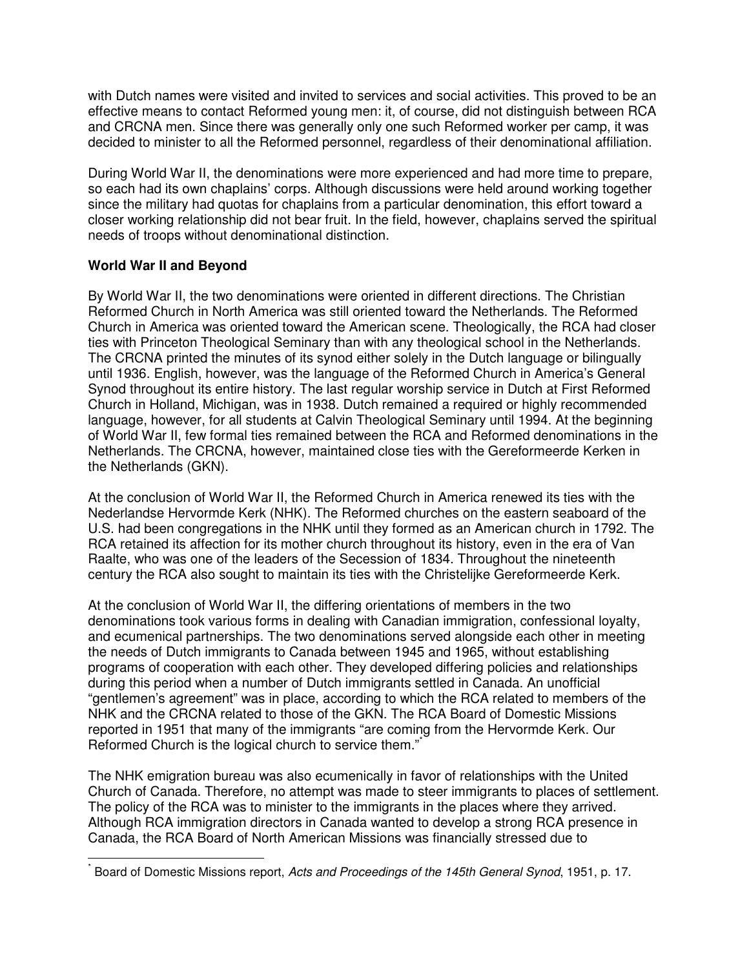with Dutch names were visited and invited to services and social activities. This proved to be an effective means to contact Reformed young men: it, of course, did not distinguish between RCA and CRCNA men. Since there was generally only one such Reformed worker per camp, it was decided to minister to all the Reformed personnel, regardless of their denominational affiliation.

During World War II, the denominations were more experienced and had more time to prepare, so each had its own chaplains' corps. Although discussions were held around working together since the military had quotas for chaplains from a particular denomination, this effort toward a closer working relationship did not bear fruit. In the field, however, chaplains served the spiritual needs of troops without denominational distinction.

# **World War II and Beyond**

l

By World War II, the two denominations were oriented in different directions. The Christian Reformed Church in North America was still oriented toward the Netherlands. The Reformed Church in America was oriented toward the American scene. Theologically, the RCA had closer ties with Princeton Theological Seminary than with any theological school in the Netherlands. The CRCNA printed the minutes of its synod either solely in the Dutch language or bilingually until 1936. English, however, was the language of the Reformed Church in America's General Synod throughout its entire history. The last regular worship service in Dutch at First Reformed Church in Holland, Michigan, was in 1938. Dutch remained a required or highly recommended language, however, for all students at Calvin Theological Seminary until 1994. At the beginning of World War II, few formal ties remained between the RCA and Reformed denominations in the Netherlands. The CRCNA, however, maintained close ties with the Gereformeerde Kerken in the Netherlands (GKN).

At the conclusion of World War II, the Reformed Church in America renewed its ties with the Nederlandse Hervormde Kerk (NHK). The Reformed churches on the eastern seaboard of the U.S. had been congregations in the NHK until they formed as an American church in 1792. The RCA retained its affection for its mother church throughout its history, even in the era of Van Raalte, who was one of the leaders of the Secession of 1834. Throughout the nineteenth century the RCA also sought to maintain its ties with the Christelijke Gereformeerde Kerk.

At the conclusion of World War II, the differing orientations of members in the two denominations took various forms in dealing with Canadian immigration, confessional loyalty, and ecumenical partnerships. The two denominations served alongside each other in meeting the needs of Dutch immigrants to Canada between 1945 and 1965, without establishing programs of cooperation with each other. They developed differing policies and relationships during this period when a number of Dutch immigrants settled in Canada. An unofficial "gentlemen's agreement" was in place, according to which the RCA related to members of the NHK and the CRCNA related to those of the GKN. The RCA Board of Domestic Missions reported in 1951 that many of the immigrants "are coming from the Hervormde Kerk. Our Reformed Church is the logical church to service them."

The NHK emigration bureau was also ecumenically in favor of relationships with the United Church of Canada. Therefore, no attempt was made to steer immigrants to places of settlement. The policy of the RCA was to minister to the immigrants in the places where they arrived. Although RCA immigration directors in Canada wanted to develop a strong RCA presence in Canada, the RCA Board of North American Missions was financially stressed due to

<sup>\*</sup> Board of Domestic Missions report, *Acts and Proceedings of the 145th General Synod*, 1951, p. 17.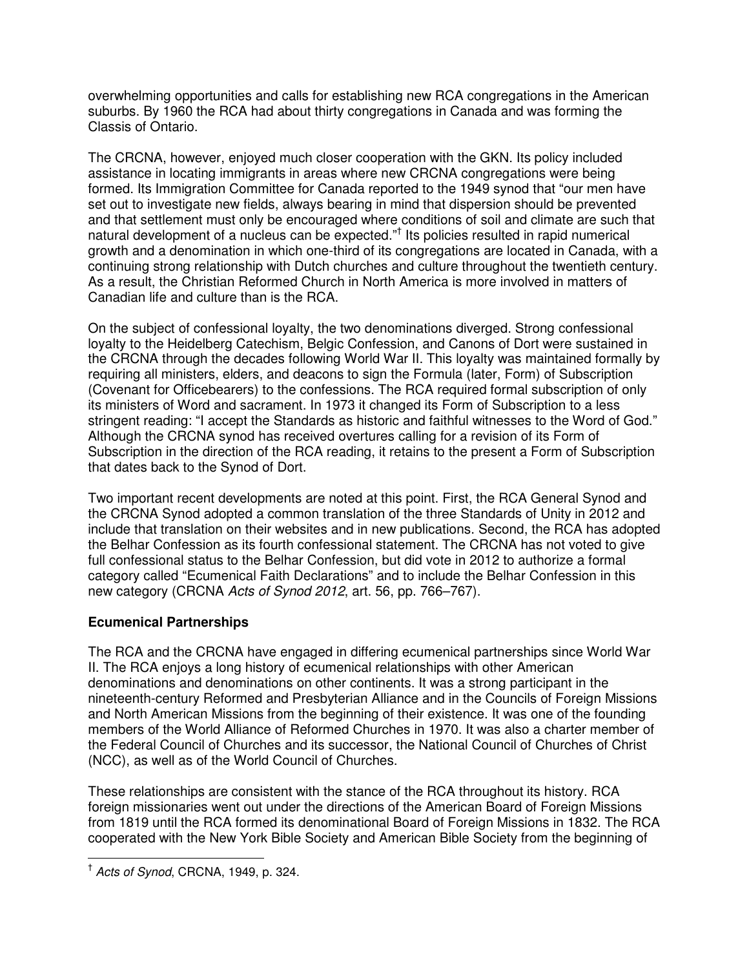overwhelming opportunities and calls for establishing new RCA congregations in the American suburbs. By 1960 the RCA had about thirty congregations in Canada and was forming the Classis of Ontario.

The CRCNA, however, enjoyed much closer cooperation with the GKN. Its policy included assistance in locating immigrants in areas where new CRCNA congregations were being formed. Its Immigration Committee for Canada reported to the 1949 synod that "our men have set out to investigate new fields, always bearing in mind that dispersion should be prevented and that settlement must only be encouraged where conditions of soil and climate are such that natural development of a nucleus can be expected."<sup>†</sup> Its policies resulted in rapid numerical growth and a denomination in which one-third of its congregations are located in Canada, with a continuing strong relationship with Dutch churches and culture throughout the twentieth century. As a result, the Christian Reformed Church in North America is more involved in matters of Canadian life and culture than is the RCA.

On the subject of confessional loyalty, the two denominations diverged. Strong confessional loyalty to the Heidelberg Catechism, Belgic Confession, and Canons of Dort were sustained in the CRCNA through the decades following World War II. This loyalty was maintained formally by requiring all ministers, elders, and deacons to sign the Formula (later, Form) of Subscription (Covenant for Officebearers) to the confessions. The RCA required formal subscription of only its ministers of Word and sacrament. In 1973 it changed its Form of Subscription to a less stringent reading: "I accept the Standards as historic and faithful witnesses to the Word of God." Although the CRCNA synod has received overtures calling for a revision of its Form of Subscription in the direction of the RCA reading, it retains to the present a Form of Subscription that dates back to the Synod of Dort.

Two important recent developments are noted at this point. First, the RCA General Synod and the CRCNA Synod adopted a common translation of the three Standards of Unity in 2012 and include that translation on their websites and in new publications. Second, the RCA has adopted the Belhar Confession as its fourth confessional statement. The CRCNA has not voted to give full confessional status to the Belhar Confession, but did vote in 2012 to authorize a formal category called "Ecumenical Faith Declarations" and to include the Belhar Confession in this new category (CRCNA *Acts of Synod 2012*, art. 56, pp. 766–767).

# **Ecumenical Partnerships**

The RCA and the CRCNA have engaged in differing ecumenical partnerships since World War II. The RCA enjoys a long history of ecumenical relationships with other American denominations and denominations on other continents. It was a strong participant in the nineteenth-century Reformed and Presbyterian Alliance and in the Councils of Foreign Missions and North American Missions from the beginning of their existence. It was one of the founding members of the World Alliance of Reformed Churches in 1970. It was also a charter member of the Federal Council of Churches and its successor, the National Council of Churches of Christ (NCC), as well as of the World Council of Churches.

These relationships are consistent with the stance of the RCA throughout its history. RCA foreign missionaries went out under the directions of the American Board of Foreign Missions from 1819 until the RCA formed its denominational Board of Foreign Missions in 1832. The RCA cooperated with the New York Bible Society and American Bible Society from the beginning of

 $\overline{a}$ 

<sup>†</sup> *Acts of Synod*, CRCNA, 1949, p. 324.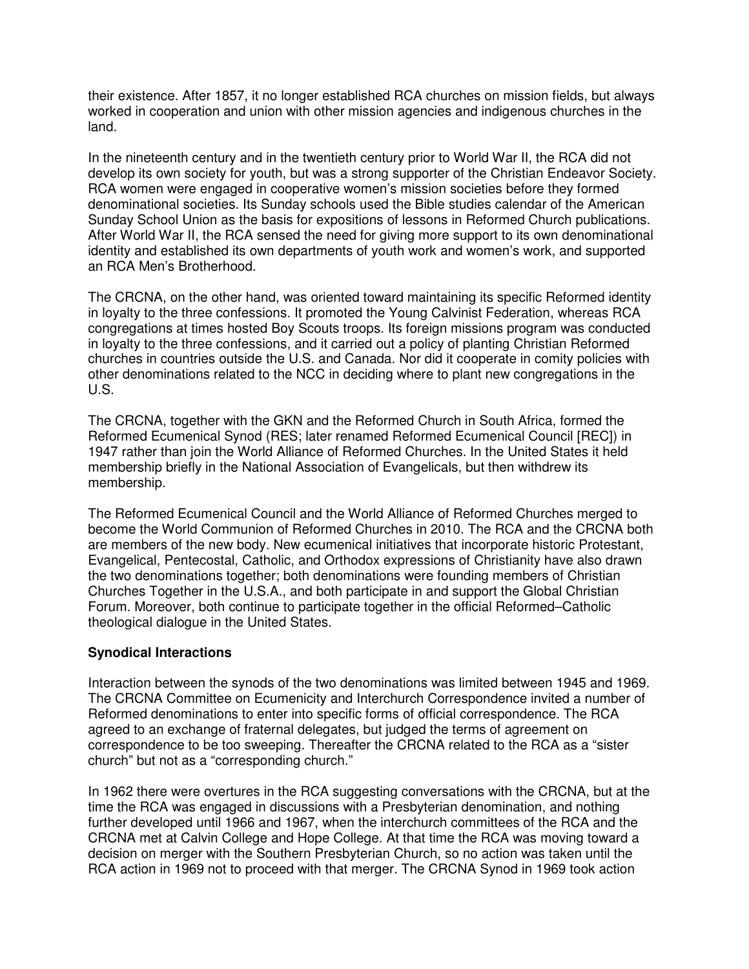their existence. After 1857, it no longer established RCA churches on mission fields, but always worked in cooperation and union with other mission agencies and indigenous churches in the land.

In the nineteenth century and in the twentieth century prior to World War II, the RCA did not develop its own society for youth, but was a strong supporter of the Christian Endeavor Society. RCA women were engaged in cooperative women's mission societies before they formed denominational societies. Its Sunday schools used the Bible studies calendar of the American Sunday School Union as the basis for expositions of lessons in Reformed Church publications. After World War II, the RCA sensed the need for giving more support to its own denominational identity and established its own departments of youth work and women's work, and supported an RCA Men's Brotherhood.

The CRCNA, on the other hand, was oriented toward maintaining its specific Reformed identity in loyalty to the three confessions. It promoted the Young Calvinist Federation, whereas RCA congregations at times hosted Boy Scouts troops. Its foreign missions program was conducted in loyalty to the three confessions, and it carried out a policy of planting Christian Reformed churches in countries outside the U.S. and Canada. Nor did it cooperate in comity policies with other denominations related to the NCC in deciding where to plant new congregations in the U.S.

The CRCNA, together with the GKN and the Reformed Church in South Africa, formed the Reformed Ecumenical Synod (RES; later renamed Reformed Ecumenical Council [REC]) in 1947 rather than join the World Alliance of Reformed Churches. In the United States it held membership briefly in the National Association of Evangelicals, but then withdrew its membership.

The Reformed Ecumenical Council and the World Alliance of Reformed Churches merged to become the World Communion of Reformed Churches in 2010. The RCA and the CRCNA both are members of the new body. New ecumenical initiatives that incorporate historic Protestant, Evangelical, Pentecostal, Catholic, and Orthodox expressions of Christianity have also drawn the two denominations together; both denominations were founding members of Christian Churches Together in the U.S.A., and both participate in and support the Global Christian Forum. Moreover, both continue to participate together in the official Reformed–Catholic theological dialogue in the United States.

### **Synodical Interactions**

Interaction between the synods of the two denominations was limited between 1945 and 1969. The CRCNA Committee on Ecumenicity and Interchurch Correspondence invited a number of Reformed denominations to enter into specific forms of official correspondence. The RCA agreed to an exchange of fraternal delegates, but judged the terms of agreement on correspondence to be too sweeping. Thereafter the CRCNA related to the RCA as a "sister church" but not as a "corresponding church."

In 1962 there were overtures in the RCA suggesting conversations with the CRCNA, but at the time the RCA was engaged in discussions with a Presbyterian denomination, and nothing further developed until 1966 and 1967, when the interchurch committees of the RCA and the CRCNA met at Calvin College and Hope College. At that time the RCA was moving toward a decision on merger with the Southern Presbyterian Church, so no action was taken until the RCA action in 1969 not to proceed with that merger. The CRCNA Synod in 1969 took action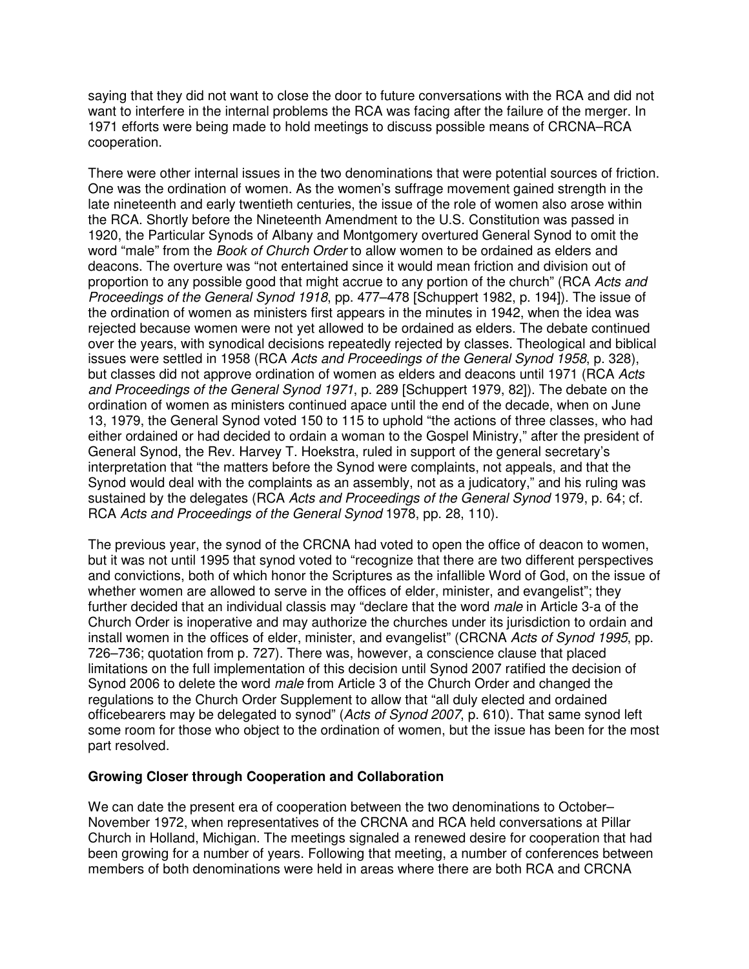saying that they did not want to close the door to future conversations with the RCA and did not want to interfere in the internal problems the RCA was facing after the failure of the merger. In 1971 efforts were being made to hold meetings to discuss possible means of CRCNA–RCA cooperation.

There were other internal issues in the two denominations that were potential sources of friction. One was the ordination of women. As the women's suffrage movement gained strength in the late nineteenth and early twentieth centuries, the issue of the role of women also arose within the RCA. Shortly before the Nineteenth Amendment to the U.S. Constitution was passed in 1920, the Particular Synods of Albany and Montgomery overtured General Synod to omit the word "male" from the *Book of Church Order* to allow women to be ordained as elders and deacons. The overture was "not entertained since it would mean friction and division out of proportion to any possible good that might accrue to any portion of the church" (RCA *Acts and Proceedings of the General Synod 1918*, pp. 477–478 [Schuppert 1982, p. 194]). The issue of the ordination of women as ministers first appears in the minutes in 1942, when the idea was rejected because women were not yet allowed to be ordained as elders. The debate continued over the years, with synodical decisions repeatedly rejected by classes. Theological and biblical issues were settled in 1958 (RCA *Acts and Proceedings of the General Synod 1958*, p. 328), but classes did not approve ordination of women as elders and deacons until 1971 (RCA *Acts and Proceedings of the General Synod 1971*, p. 289 [Schuppert 1979, 82]). The debate on the ordination of women as ministers continued apace until the end of the decade, when on June 13, 1979, the General Synod voted 150 to 115 to uphold "the actions of three classes, who had either ordained or had decided to ordain a woman to the Gospel Ministry," after the president of General Synod, the Rev. Harvey T. Hoekstra, ruled in support of the general secretary's interpretation that "the matters before the Synod were complaints, not appeals, and that the Synod would deal with the complaints as an assembly, not as a judicatory," and his ruling was sustained by the delegates (RCA *Acts and Proceedings of the General Synod* 1979, p. 64; cf. RCA *Acts and Proceedings of the General Synod* 1978, pp. 28, 110).

The previous year, the synod of the CRCNA had voted to open the office of deacon to women, but it was not until 1995 that synod voted to "recognize that there are two different perspectives and convictions, both of which honor the Scriptures as the infallible Word of God, on the issue of whether women are allowed to serve in the offices of elder, minister, and evangelist"; they further decided that an individual classis may "declare that the word *male* in Article 3-a of the Church Order is inoperative and may authorize the churches under its jurisdiction to ordain and install women in the offices of elder, minister, and evangelist" (CRCNA *Acts of Synod 1995*, pp. 726–736; quotation from p. 727). There was, however, a conscience clause that placed limitations on the full implementation of this decision until Synod 2007 ratified the decision of Synod 2006 to delete the word *male* from Article 3 of the Church Order and changed the regulations to the Church Order Supplement to allow that "all duly elected and ordained officebearers may be delegated to synod" (*Acts of Synod 2007*, p. 610). That same synod left some room for those who object to the ordination of women, but the issue has been for the most part resolved.

### **Growing Closer through Cooperation and Collaboration**

We can date the present era of cooperation between the two denominations to October– November 1972, when representatives of the CRCNA and RCA held conversations at Pillar Church in Holland, Michigan. The meetings signaled a renewed desire for cooperation that had been growing for a number of years. Following that meeting, a number of conferences between members of both denominations were held in areas where there are both RCA and CRCNA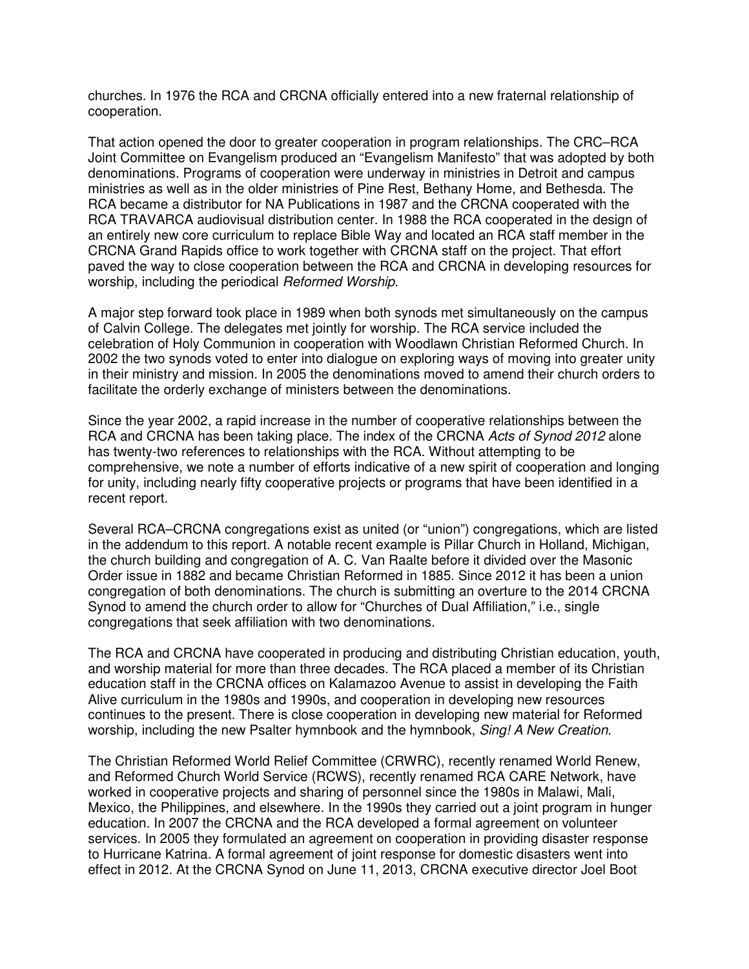churches. In 1976 the RCA and CRCNA officially entered into a new fraternal relationship of cooperation.

That action opened the door to greater cooperation in program relationships. The CRC–RCA Joint Committee on Evangelism produced an "Evangelism Manifesto" that was adopted by both denominations. Programs of cooperation were underway in ministries in Detroit and campus ministries as well as in the older ministries of Pine Rest, Bethany Home, and Bethesda. The RCA became a distributor for NA Publications in 1987 and the CRCNA cooperated with the RCA TRAVARCA audiovisual distribution center. In 1988 the RCA cooperated in the design of an entirely new core curriculum to replace Bible Way and located an RCA staff member in the CRCNA Grand Rapids office to work together with CRCNA staff on the project. That effort paved the way to close cooperation between the RCA and CRCNA in developing resources for worship, including the periodical *Reformed Worship.* 

A major step forward took place in 1989 when both synods met simultaneously on the campus of Calvin College. The delegates met jointly for worship. The RCA service included the celebration of Holy Communion in cooperation with Woodlawn Christian Reformed Church. In 2002 the two synods voted to enter into dialogue on exploring ways of moving into greater unity in their ministry and mission. In 2005 the denominations moved to amend their church orders to facilitate the orderly exchange of ministers between the denominations.

Since the year 2002, a rapid increase in the number of cooperative relationships between the RCA and CRCNA has been taking place. The index of the CRCNA *Acts of Synod 2012* alone has twenty-two references to relationships with the RCA. Without attempting to be comprehensive, we note a number of efforts indicative of a new spirit of cooperation and longing for unity, including nearly fifty cooperative projects or programs that have been identified in a recent report.

Several RCA–CRCNA congregations exist as united (or "union") congregations, which are listed in the addendum to this report. A notable recent example is Pillar Church in Holland, Michigan, the church building and congregation of A. C. Van Raalte before it divided over the Masonic Order issue in 1882 and became Christian Reformed in 1885. Since 2012 it has been a union congregation of both denominations. The church is submitting an overture to the 2014 CRCNA Synod to amend the church order to allow for "Churches of Dual Affiliation," i.e., single congregations that seek affiliation with two denominations.

The RCA and CRCNA have cooperated in producing and distributing Christian education, youth, and worship material for more than three decades. The RCA placed a member of its Christian education staff in the CRCNA offices on Kalamazoo Avenue to assist in developing the Faith Alive curriculum in the 1980s and 1990s, and cooperation in developing new resources continues to the present. There is close cooperation in developing new material for Reformed worship, including the new Psalter hymnbook and the hymnbook, *Sing! A New Creation*.

The Christian Reformed World Relief Committee (CRWRC), recently renamed World Renew, and Reformed Church World Service (RCWS), recently renamed RCA CARE Network, have worked in cooperative projects and sharing of personnel since the 1980s in Malawi, Mali, Mexico, the Philippines, and elsewhere. In the 1990s they carried out a joint program in hunger education. In 2007 the CRCNA and the RCA developed a formal agreement on volunteer services. In 2005 they formulated an agreement on cooperation in providing disaster response to Hurricane Katrina. A formal agreement of joint response for domestic disasters went into effect in 2012. At the CRCNA Synod on June 11, 2013, CRCNA executive director Joel Boot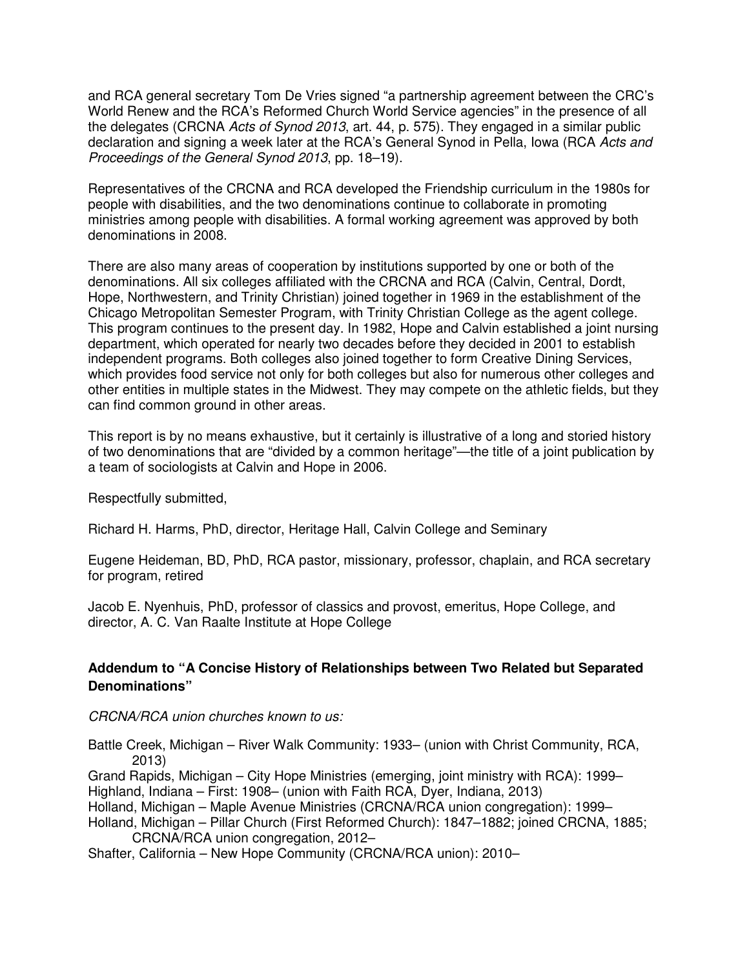and RCA general secretary Tom De Vries signed "a partnership agreement between the CRC's World Renew and the RCA's Reformed Church World Service agencies" in the presence of all the delegates (CRCNA *Acts of Synod 2013*, art. 44, p. 575). They engaged in a similar public declaration and signing a week later at the RCA's General Synod in Pella, Iowa (RCA *Acts and Proceedings of the General Synod 2013*, pp. 18–19).

Representatives of the CRCNA and RCA developed the Friendship curriculum in the 1980s for people with disabilities, and the two denominations continue to collaborate in promoting ministries among people with disabilities. A formal working agreement was approved by both denominations in 2008.

There are also many areas of cooperation by institutions supported by one or both of the denominations. All six colleges affiliated with the CRCNA and RCA (Calvin, Central, Dordt, Hope, Northwestern, and Trinity Christian) joined together in 1969 in the establishment of the Chicago Metropolitan Semester Program, with Trinity Christian College as the agent college. This program continues to the present day. In 1982, Hope and Calvin established a joint nursing department, which operated for nearly two decades before they decided in 2001 to establish independent programs. Both colleges also joined together to form Creative Dining Services, which provides food service not only for both colleges but also for numerous other colleges and other entities in multiple states in the Midwest. They may compete on the athletic fields, but they can find common ground in other areas.

This report is by no means exhaustive, but it certainly is illustrative of a long and storied history of two denominations that are "divided by a common heritage"—the title of a joint publication by a team of sociologists at Calvin and Hope in 2006.

Respectfully submitted,

Richard H. Harms, PhD, director, Heritage Hall, Calvin College and Seminary

Eugene Heideman, BD, PhD, RCA pastor, missionary, professor, chaplain, and RCA secretary for program, retired

Jacob E. Nyenhuis, PhD, professor of classics and provost, emeritus, Hope College, and director, A. C. Van Raalte Institute at Hope College

# **Addendum to "A Concise History of Relationships between Two Related but Separated Denominations"**

### *CRCNA/RCA union churches known to us:*

Battle Creek, Michigan – River Walk Community: 1933– (union with Christ Community, RCA, 2013)

Grand Rapids, Michigan – City Hope Ministries (emerging, joint ministry with RCA): 1999– Highland, Indiana – First: 1908– (union with Faith RCA, Dyer, Indiana, 2013)

Holland, Michigan – Maple Avenue Ministries (CRCNA/RCA union congregation): 1999–

Holland, Michigan – Pillar Church (First Reformed Church): 1847–1882; joined CRCNA, 1885; CRCNA/RCA union congregation, 2012–

Shafter, California – New Hope Community (CRCNA/RCA union): 2010–